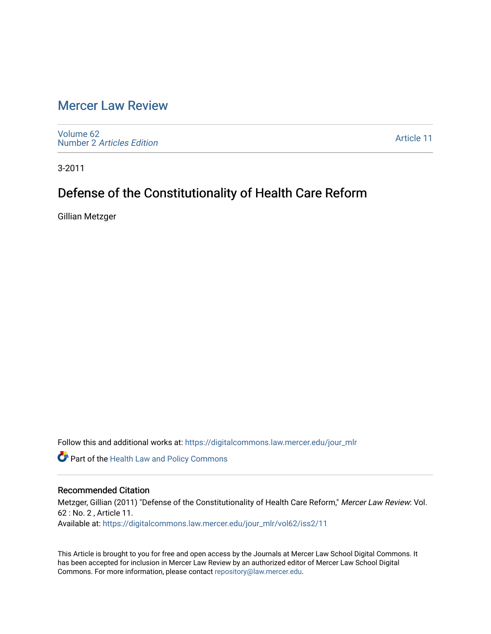## [Mercer Law Review](https://digitalcommons.law.mercer.edu/jour_mlr)

[Volume 62](https://digitalcommons.law.mercer.edu/jour_mlr/vol62) Number 2 [Articles Edition](https://digitalcommons.law.mercer.edu/jour_mlr/vol62/iss2) 

[Article 11](https://digitalcommons.law.mercer.edu/jour_mlr/vol62/iss2/11) 

3-2011

# Defense of the Constitutionality of Health Care Reform

Gillian Metzger

Follow this and additional works at: [https://digitalcommons.law.mercer.edu/jour\\_mlr](https://digitalcommons.law.mercer.edu/jour_mlr?utm_source=digitalcommons.law.mercer.edu%2Fjour_mlr%2Fvol62%2Fiss2%2F11&utm_medium=PDF&utm_campaign=PDFCoverPages)

**Part of the Health Law and Policy Commons** 

### Recommended Citation

Metzger, Gillian (2011) "Defense of the Constitutionality of Health Care Reform," Mercer Law Review: Vol. 62 : No. 2 , Article 11. Available at: [https://digitalcommons.law.mercer.edu/jour\\_mlr/vol62/iss2/11](https://digitalcommons.law.mercer.edu/jour_mlr/vol62/iss2/11?utm_source=digitalcommons.law.mercer.edu%2Fjour_mlr%2Fvol62%2Fiss2%2F11&utm_medium=PDF&utm_campaign=PDFCoverPages) 

This Article is brought to you for free and open access by the Journals at Mercer Law School Digital Commons. It has been accepted for inclusion in Mercer Law Review by an authorized editor of Mercer Law School Digital Commons. For more information, please contact [repository@law.mercer.edu.](mailto:repository@law.mercer.edu)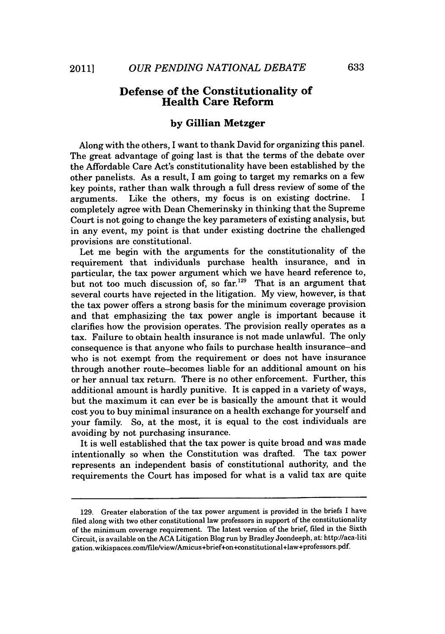### **Defense of the Constitutionality of Health Care Reform**

#### **by Gillian Metzger**

Along with the others, I want to thank David for organizing this panel. The great advantage of going last is that the terms of the debate over the Affordable Care Act's constitutionality have been established **by** the other panelists. As a result, I am going to target my remarks on a few key points, rather than walk through a full dress review of some of the arguments. Like the others, my focus is on existing doctrine. completely agree with Dean Chemerinsky in thinking that the Supreme Court is not going to change the key parameters of existing analysis, but in any event, my point is that under existing doctrine the challenged provisions are constitutional.

Let me begin with the arguments for the constitutionality of the requirement that individuals purchase health insurance, and in particular, the tax power argument which we have heard reference to, but not too much discussion of, so far.<sup>129</sup> That is an argument that several courts have rejected in the litigation. **My** view, however, is that the tax power offers a strong basis for the minimum coverage provision and that emphasizing the tax power angle is important because it clarifies how the provision operates. The provision really operates as a tax. Failure to obtain health insurance is not made unlawful. The only consequence is that anyone who fails to purchase health insurance-and who is not exempt from the requirement or does not have insurance through another route-becomes liable for an additional amount on his or her annual tax return. There is no other enforcement. Further, this additional amount is hardly punitive. It is capped in a variety of ways, but the maximum it can ever be is basically the amount that it would cost you to buy minimal insurance on a health exchange for yourself and your family. So, at the most, it is equal to the cost individuals are avoiding **by** not purchasing insurance.

It is well established that the tax power is quite broad and was made intentionally so when the Constitution was drafted. The tax power represents an independent basis of constitutional authority, and the requirements the Court has imposed for what is a valid tax are quite

**<sup>129.</sup>** Greater elaboration of the tax power argument is provided in the briefs **I** have filed along with two other constitutional law professors in support of the constitutionality of the minimum coverage requirement. The latest version of the brief, filed in the Sixth Circuit, is available on the **ACA** Litigation Blog run **by** Bradley Joondeeph, at: http://aca-liti gation.wikispaces.com/file/view/Amicus+brief+on+constitutional+law+professors.pdf.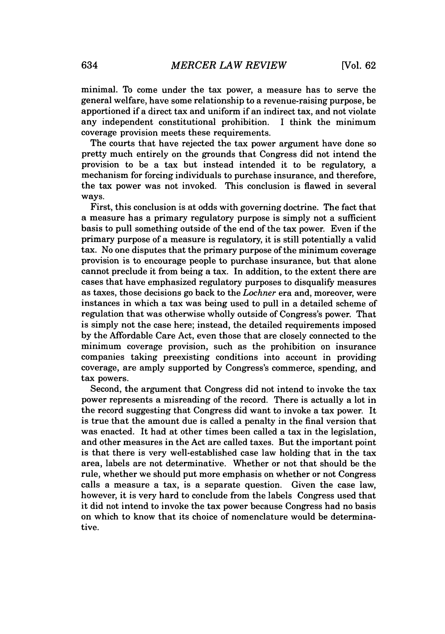minimal. To come under the tax power, a measure has to serve the general welfare, have some relationship to a revenue-raising purpose, be apportioned if a direct tax and uniform *if* an indirect tax, and not violate any independent constitutional prohibition. I think the minimum coverage provision meets these requirements.

The courts that have rejected the tax power argument have done so pretty much entirely on the grounds that Congress did not intend the provision to be a tax but instead intended it to be regulatory, a mechanism for forcing individuals to purchase insurance, and therefore, the tax power was not invoked. This conclusion is flawed in several ways.

First, this conclusion is at odds with governing doctrine. The fact that a measure has a primary regulatory purpose is simply not a sufficient basis to pull something outside of the end of the tax power. Even if the primary purpose of a measure is regulatory, it is still potentially a valid tax. No one disputes that the primary purpose of the minimum coverage provision is to encourage people to purchase insurance, but that alone cannot preclude it from being a tax. In addition, to the extent there are cases that have emphasized regulatory purposes to disqualify measures as taxes, those decisions go back to the *Lochner* era and, moreover, were instances in which a tax was being used to pull in a detailed scheme of regulation that was otherwise wholly outside of Congress's power. That is simply not the case here; instead, the detailed requirements imposed **by** the Affordable Care Act, even those that are closely connected to the minimum coverage provision, such as the prohibition on insurance companies taking preexisting conditions into account in providing coverage, are amply supported **by** Congress's commerce, spending, and tax powers.

Second, the argument that Congress did not intend to invoke the tax power represents a misreading of the record. There is actually a lot in the record suggesting that Congress did want to invoke a tax power. It is true that the amount due is called a penalty in the final version that was enacted. It had at other times been called a tax in the legislation, and other measures in the Act are called taxes. But the important point is that there is very well-established case law holding that in the tax area, labels are not determinative. Whether or not that should be the rule, whether we should put more emphasis on whether or not Congress calls a measure a tax, is a separate question. Given the case law, however, it is very hard to conclude from the labels Congress used that it did not intend to invoke the tax power because Congress had no basis on which to know that its choice of nomenclature would be determinative.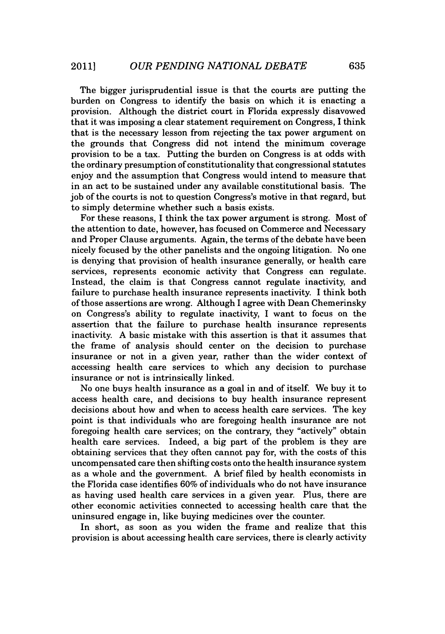The bigger jurisprudential issue is that the courts are putting the burden on Congress to identify the basis on which it is enacting a provision. Although the district court in Florida expressly disavowed that it was imposing a clear statement requirement on Congress, **I** think that is the necessary lesson from rejecting the tax power argument on the grounds that Congress did not intend the minimum coverage provision to be a tax. Putting the burden on Congress is at odds with the ordinary presumption of constitutionality that congressional statutes enjoy and the assumption that Congress would intend to measure that in an act to be sustained under any available constitutional basis. The **job** of the courts is not to question Congress's motive in that regard, but to simply determine whether such a basis exists.

For these reasons, **I** think the tax power argument is strong. Most of the attention to date, however, has focused on Commerce and Necessary and Proper Clause arguments. Again, the terms of the debate have been nicely focused **by** the other panelists and the ongoing litigation. No one is denying that provision of health insurance generally, or health care services, represents economic activity that Congress can regulate. Instead, the claim is that Congress cannot regulate inactivity, and failure to purchase health insurance represents inactivity. I think both of those assertions are wrong. Although I agree with Dean Chemerinsky on Congress's ability to regulate inactivity, I want to focus on the assertion that the failure to purchase health insurance represents inactivity. **A** basic mistake with this assertion is that it assumes that the frame of analysis should center on the decision to purchase insurance or not in a given year, rather than the wider context of accessing health care services to which any decision to purchase insurance or not is intrinsically linked.

No one buys health insurance as a goal in and of itself. We buy it to access health care, and decisions to buy health insurance represent decisions about how and when to access health care services. The key point is that individuals who are foregoing health insurance are not foregoing health care services; on the contrary, they "actively" obtain health care services. Indeed, a big part of the problem is they are obtaining services that they often cannot pay for, with the costs of this uncompensated care then shifting costs onto the health insurance system as a whole and the government. **A** brief filed **by** health economists in the Florida case identifies **60%** of individuals who do not have insurance as having used health care services in a given year. Plus, there are other economic activities connected to accessing health care that the uninsured engage in, like buying medicines over the counter.

In short, as soon as you widen the frame and realize that this provision is about accessing health care services, there is clearly activity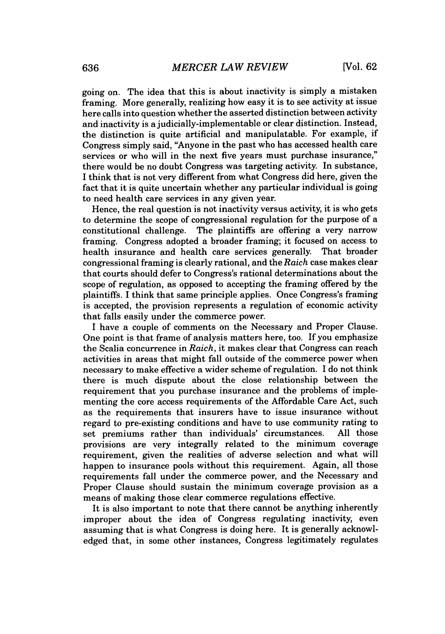going on. The idea that this is about inactivity is simply a mistaken framing. More generally, realizing how easy it is to see activity at issue here calls into question whether the asserted distinction between activity and inactivity is a judicially-implementable or clear distinction. Instead, the distinction is quite artificial and manipulatable. For example, if Congress simply said, "Anyone in the past who has accessed health care services or who will in the next five years must purchase insurance," there would be no doubt Congress was targeting activity. In substance, I think that is not very different from what Congress did here, given the fact that it is quite uncertain whether any particular individual is going to need health care services in any given year.

Hence, the real question is not inactivity versus activity, it is who gets to determine the scope of congressional regulation for the purpose of a constitutional challenge. The plaintiffs are offering a very narrow framing. Congress adopted a broader framing; it focused on access to health insurance and health care services generally. That broader health insurance and health care services generally. congressional framing is clearly rational, and the *Raich* case makes clear that courts should defer to Congress's rational determinations about the scope of regulation, as opposed to accepting the framing offered **by** the plaintiffs. **I** think that same principle applies. Once Congress's framing is accepted, the provision represents a regulation of economic activity that falls easily under the commerce power.

**I** have a couple of comments on the Necessary and Proper Clause. One point is that frame of analysis matters here, too. If you emphasize the Scalia concurrence in *Raich,* it makes clear that Congress can reach activities in areas that might fall outside of the commerce power when necessary to make effective a wider scheme of regulation. I do not think there is much dispute about the close relationship between the requirement that you purchase insurance and the problems of implementing the core access requirements of the Affordable Care Act, such as the requirements that insurers have to issue insurance without regard to pre-existing conditions and have to use community rating to set premiums rather than individuals' circumstances. **All** those provisions are very integrally related to the minimum coverage requirement, given the realities of adverse selection and what will happen to insurance pools without this requirement. Again, all those requirements fall under the commerce power, and the Necessary and Proper Clause should sustain the minimum coverage provision as a means of making those clear commerce regulations effective.

It is also important to note that there cannot be anything inherently improper about the idea of Congress regulating inactivity, even assuming that is what Congress is doing here. It is generally acknowledged that, in some other instances, Congress legitimately regulates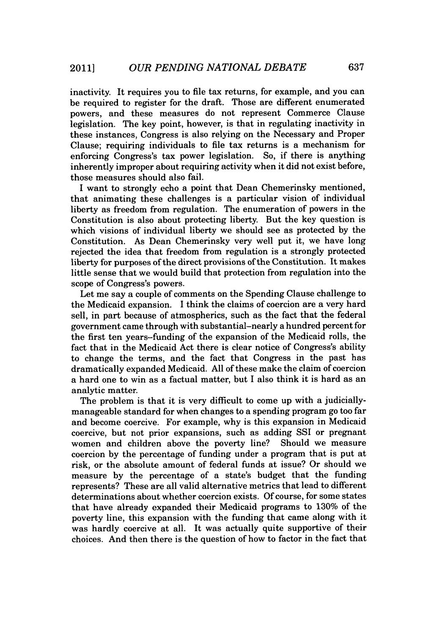inactivity. It requires you to file tax returns, for example, and you can be required to register for the draft. Those are different enumerated powers, and these measures do not represent Commerce Clause legislation. The key point, however, is that in regulating inactivity in these instances, Congress is also relying on the Necessary and Proper Clause; requiring individuals to file tax returns is a mechanism for enforcing Congress's tax power legislation. So, if there is anything inherently improper about requiring activity when it did not exist before, those measures should also fail.

I want to strongly echo a point that Dean Chemerinsky mentioned, that animating these challenges is a particular vision of individual liberty as freedom from regulation. The enumeration of powers in the Constitution is also about protecting liberty. But the key question is which visions of individual liberty we should see as protected **by** the Constitution. As Dean Chemerinsky very well put it, we have long rejected the idea that freedom from regulation is a strongly protected liberty for purposes of the direct provisions of the Constitution. It makes little sense that we would build that protection from regulation into the scope of Congress's powers.

Let me say a couple of comments on the Spending Clause challenge to the Medicaid expansion. I think the claims of coercion are a very hard sell, in part because of atmospherics, such as the fact that the federal government came through with substantial-nearly a hundred percent for the first ten years-funding of the expansion of the Medicaid rolls, the fact that in the Medicaid Act there is clear notice of Congress's ability to change the terms, and the fact that Congress in the past has dramatically expanded Medicaid. **All** of these make the claim of coercion a hard one to win as a factual matter, but I also think it is hard as an analytic matter.

The problem is that it is very difficult to come up with a judiciallymanageable standard for when changes to a spending program go too far and become coercive. For example, why is this expansion in Medicaid coercive, but not prior expansions, such as adding SSI or pregnant women and children above the poverty line? Should we measure coercion **by** the percentage of funding under a program that is put at risk, or the absolute amount of federal funds at issue? Or should we measure **by** the percentage of a state's budget that the funding represents? These are all valid alternative metrics that lead to different determinations about whether coercion exists. **Of** course, for some states that have already expanded their Medicaid programs to **130%** of the poverty line, this expansion with the funding that came along with it was hardly coercive at all. It was actually quite supportive of their choices. And then there is the question of how to factor in the fact that